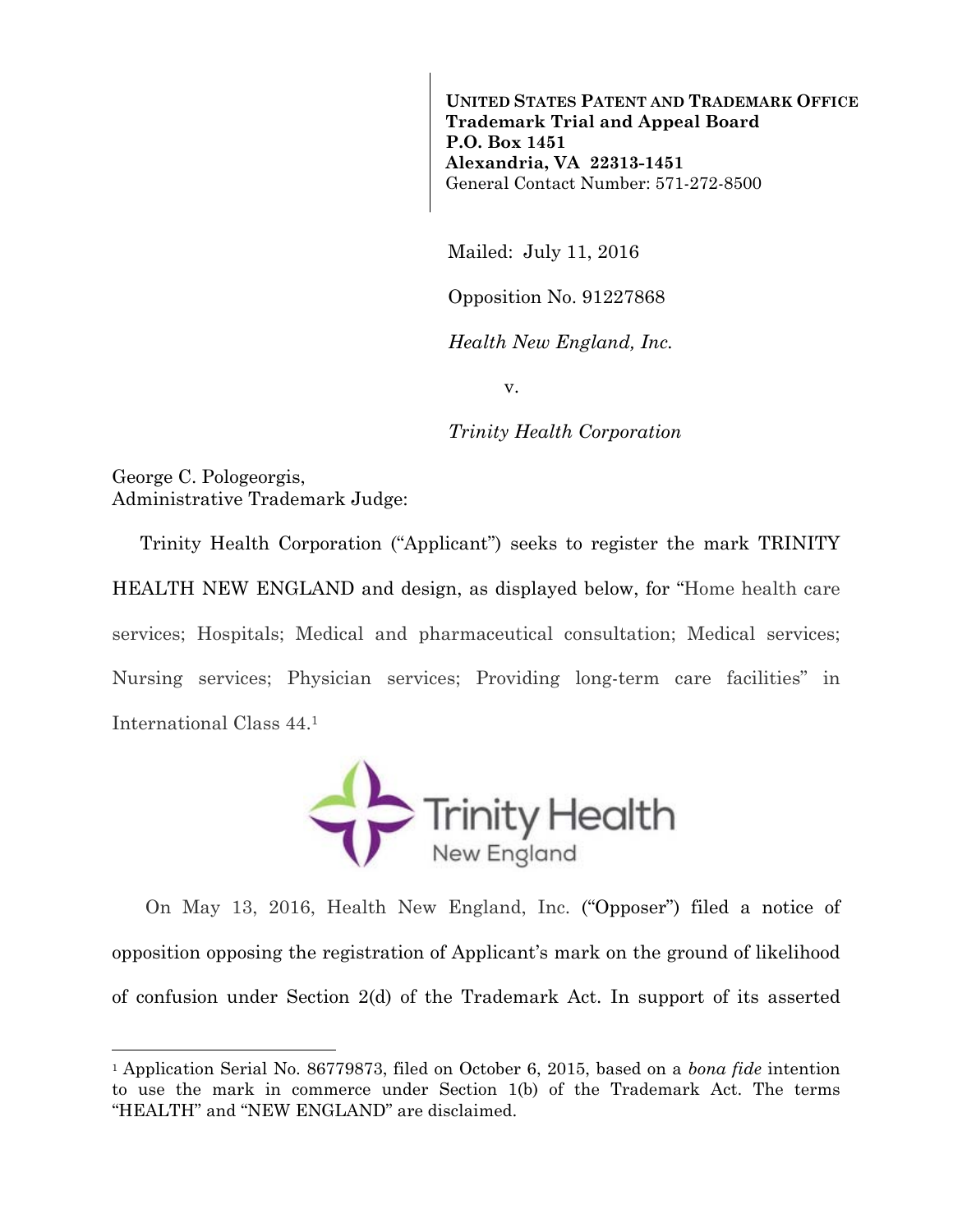**UNITED STATES PATENT AND TRADEMARK OFFICE Trademark Trial and Appeal Board P.O. Box 1451 Alexandria, VA 22313-1451**  General Contact Number: 571-272-8500

Mailed: July 11, 2016

Opposition No. 91227868

*Health New England, Inc.* 

v.

*Trinity Health Corporation* 

George C. Pologeorgis, Administrative Trademark Judge:

l

Trinity Health Corporation ("Applicant") seeks to register the mark TRINITY HEALTH NEW ENGLAND and design, as displayed below, for "Home health care services; Hospitals; Medical and pharmaceutical consultation; Medical services; Nursing services; Physician services; Providing long-term care facilities" in International Class 44.1



 On May 13, 2016, Health New England, Inc. ("Opposer") filed a notice of opposition opposing the registration of Applicant's mark on the ground of likelihood of confusion under Section 2(d) of the Trademark Act. In support of its asserted

<sup>1</sup> Application Serial No. 86779873, filed on October 6, 2015, based on a *bona fide* intention to use the mark in commerce under Section 1(b) of the Trademark Act. The terms "HEALTH" and "NEW ENGLAND" are disclaimed.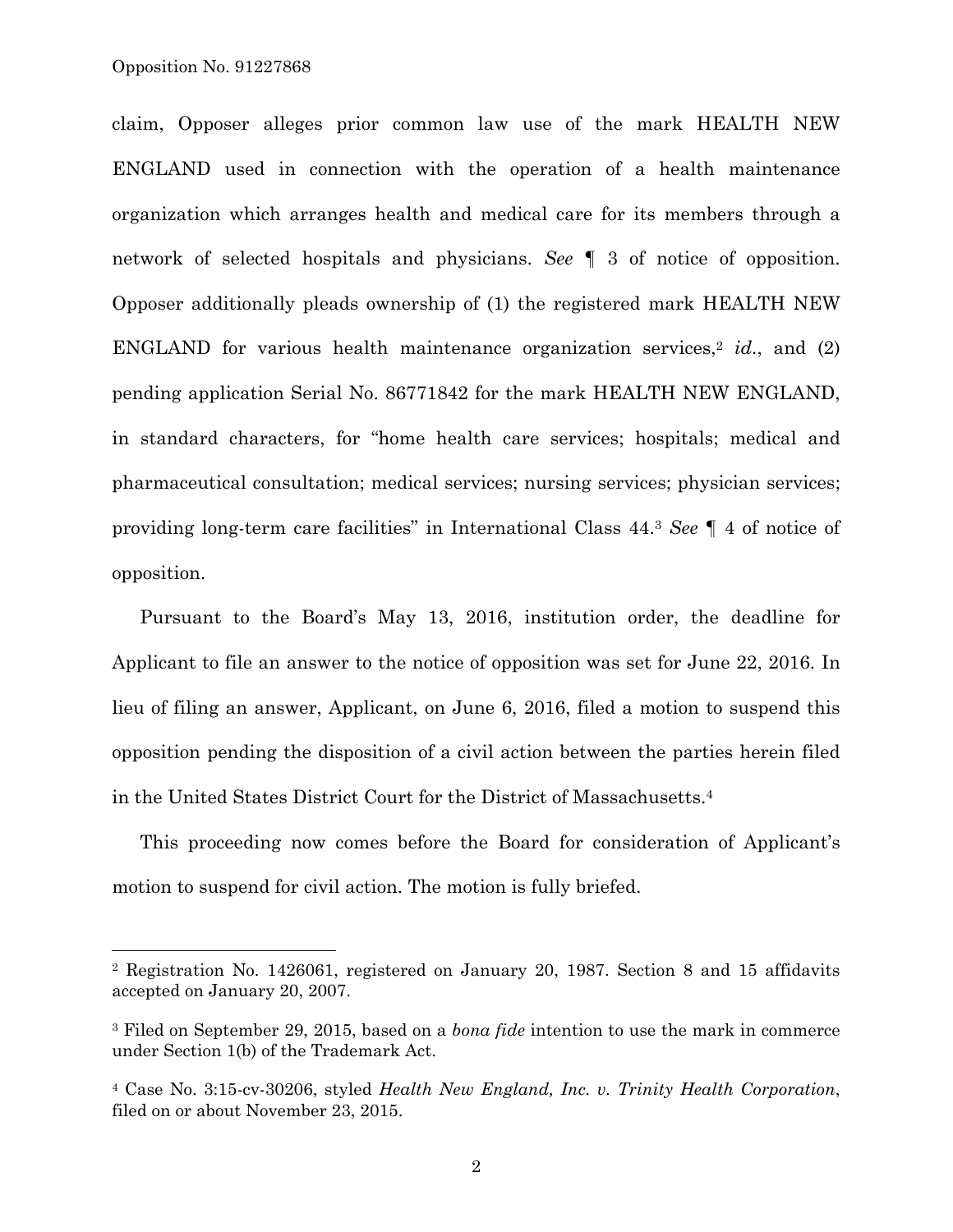$\overline{a}$ 

claim, Opposer alleges prior common law use of the mark HEALTH NEW ENGLAND used in connection with the operation of a health maintenance organization which arranges health and medical care for its members through a network of selected hospitals and physicians. *See* ¶ 3 of notice of opposition. Opposer additionally pleads ownership of (1) the registered mark HEALTH NEW ENGLAND for various health maintenance organization services,<sup>2</sup> *id.*, and (2) pending application Serial No. 86771842 for the mark HEALTH NEW ENGLAND, in standard characters, for "home health care services; hospitals; medical and pharmaceutical consultation; medical services; nursing services; physician services; providing long-term care facilities" in International Class 44.3 *See* ¶ 4 of notice of opposition.

Pursuant to the Board's May 13, 2016, institution order, the deadline for Applicant to file an answer to the notice of opposition was set for June 22, 2016. In lieu of filing an answer, Applicant, on June 6, 2016, filed a motion to suspend this opposition pending the disposition of a civil action between the parties herein filed in the United States District Court for the District of Massachusetts.4

This proceeding now comes before the Board for consideration of Applicant's motion to suspend for civil action. The motion is fully briefed.

<sup>2</sup> Registration No. 1426061, registered on January 20, 1987. Section 8 and 15 affidavits accepted on January 20, 2007.

<sup>3</sup> Filed on September 29, 2015, based on a *bona fide* intention to use the mark in commerce under Section 1(b) of the Trademark Act.

<sup>4</sup> Case No. 3:15-cv-30206, styled *Health New England, Inc. v. Trinity Health Corporation*, filed on or about November 23, 2015.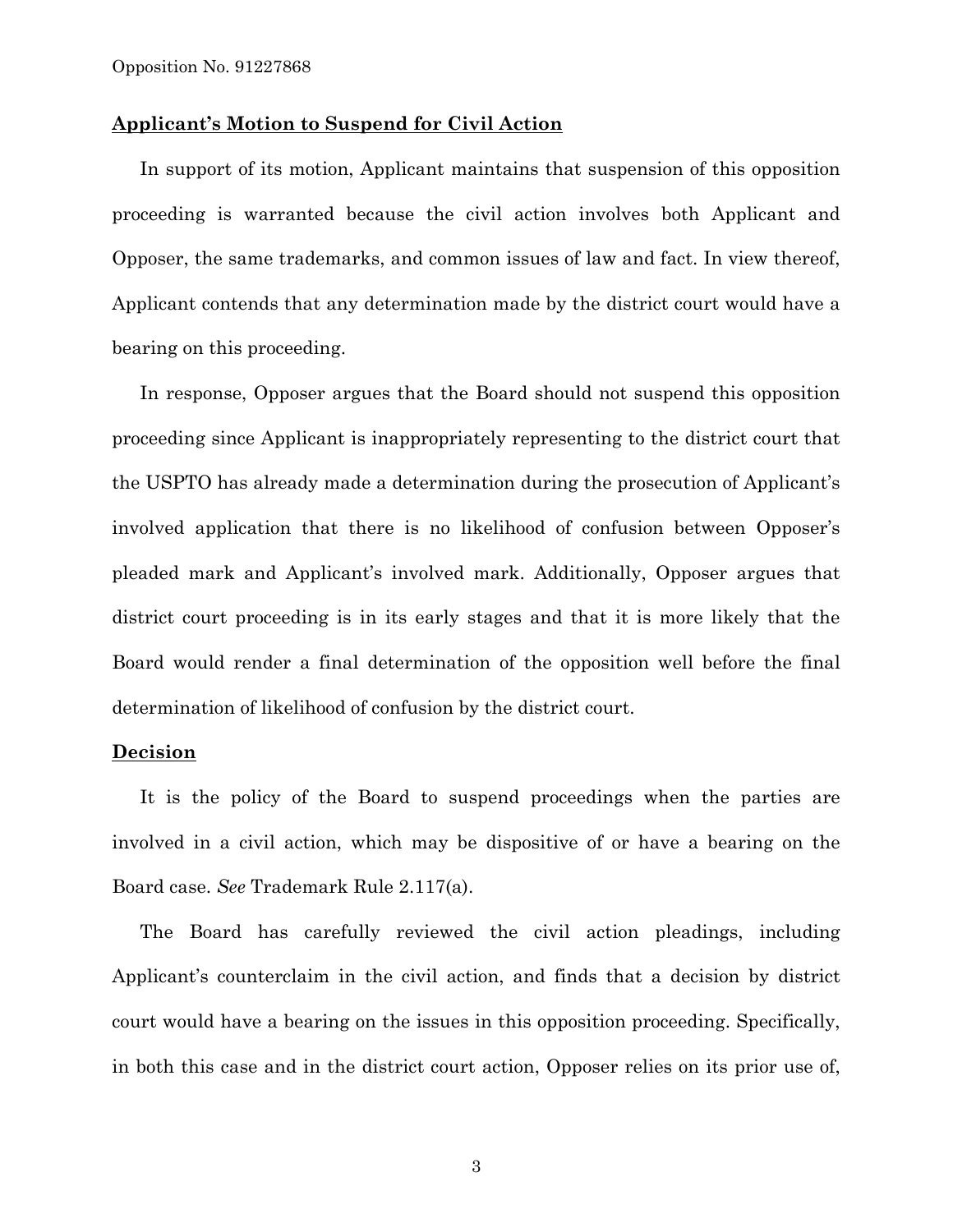## **Applicant's Motion to Suspend for Civil Action**

In support of its motion, Applicant maintains that suspension of this opposition proceeding is warranted because the civil action involves both Applicant and Opposer, the same trademarks, and common issues of law and fact. In view thereof, Applicant contends that any determination made by the district court would have a bearing on this proceeding.

In response, Opposer argues that the Board should not suspend this opposition proceeding since Applicant is inappropriately representing to the district court that the USPTO has already made a determination during the prosecution of Applicant's involved application that there is no likelihood of confusion between Opposer's pleaded mark and Applicant's involved mark. Additionally, Opposer argues that district court proceeding is in its early stages and that it is more likely that the Board would render a final determination of the opposition well before the final determination of likelihood of confusion by the district court.

## **Decision**

It is the policy of the Board to suspend proceedings when the parties are involved in a civil action, which may be dispositive of or have a bearing on the Board case. *See* Trademark Rule 2.117(a).

The Board has carefully reviewed the civil action pleadings, including Applicant's counterclaim in the civil action, and finds that a decision by district court would have a bearing on the issues in this opposition proceeding. Specifically, in both this case and in the district court action, Opposer relies on its prior use of,

3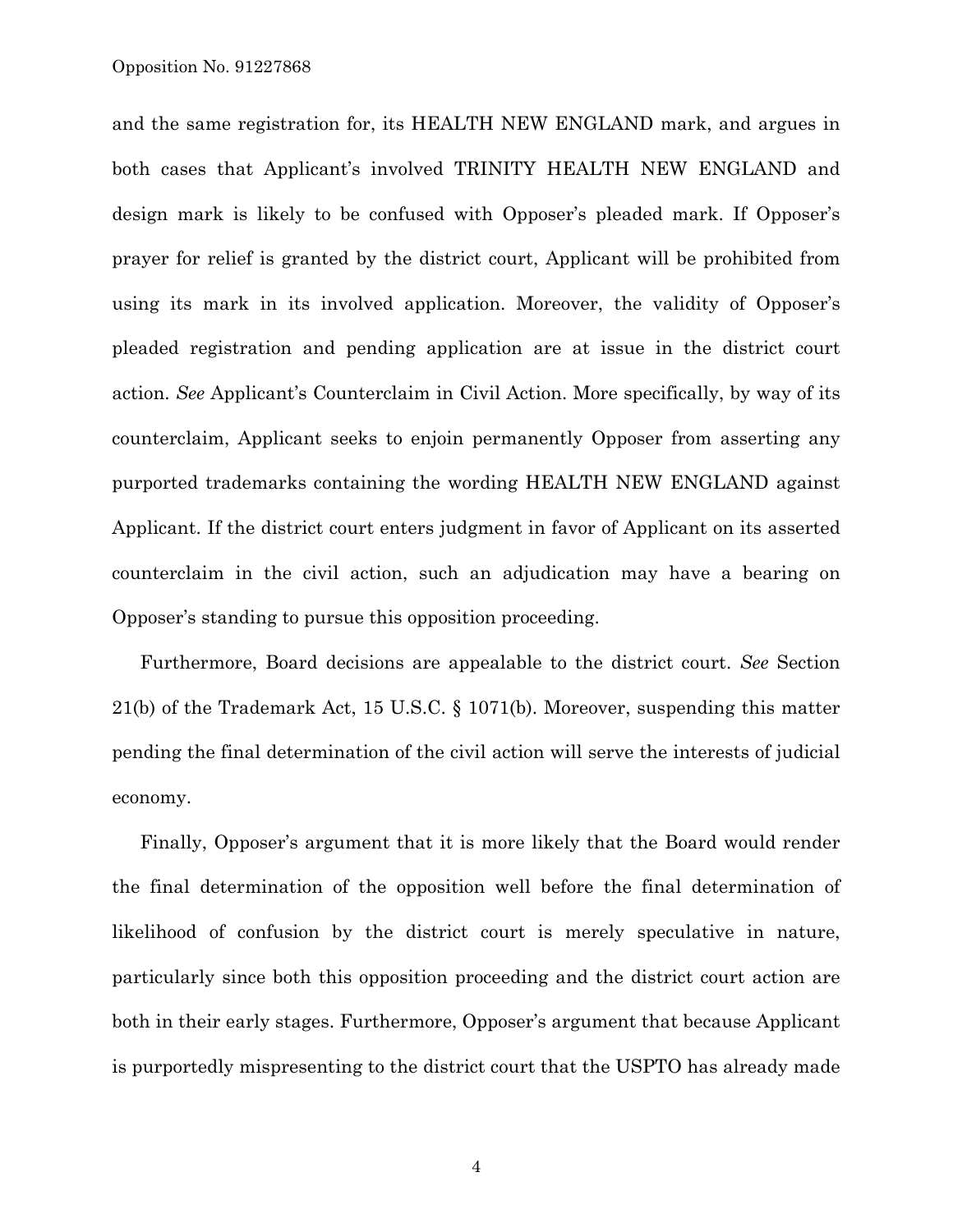and the same registration for, its HEALTH NEW ENGLAND mark, and argues in both cases that Applicant's involved TRINITY HEALTH NEW ENGLAND and design mark is likely to be confused with Opposer's pleaded mark. If Opposer's prayer for relief is granted by the district court, Applicant will be prohibited from using its mark in its involved application. Moreover, the validity of Opposer's pleaded registration and pending application are at issue in the district court action. *See* Applicant's Counterclaim in Civil Action. More specifically, by way of its counterclaim, Applicant seeks to enjoin permanently Opposer from asserting any purported trademarks containing the wording HEALTH NEW ENGLAND against Applicant. If the district court enters judgment in favor of Applicant on its asserted counterclaim in the civil action, such an adjudication may have a bearing on Opposer's standing to pursue this opposition proceeding.

Furthermore, Board decisions are appealable to the district court. *See* Section 21(b) of the Trademark Act, 15 U.S.C. § 1071(b). Moreover, suspending this matter pending the final determination of the civil action will serve the interests of judicial economy.

Finally, Opposer's argument that it is more likely that the Board would render the final determination of the opposition well before the final determination of likelihood of confusion by the district court is merely speculative in nature, particularly since both this opposition proceeding and the district court action are both in their early stages. Furthermore, Opposer's argument that because Applicant is purportedly mispresenting to the district court that the USPTO has already made

4